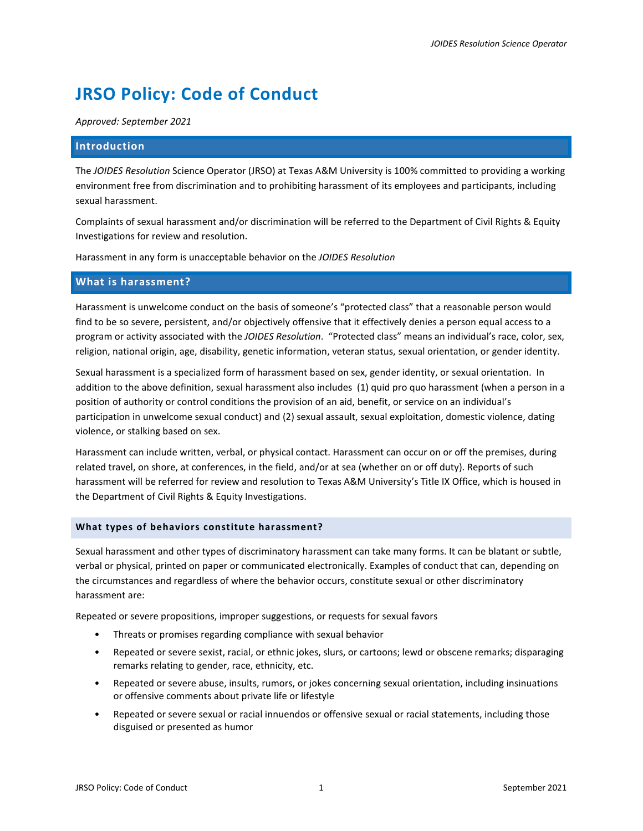# **JRSO Policy: Code of Conduct**

*Approved: September 2021*

# **Introduction**

The *JOIDES Resolution* Science Operator (JRSO) at Texas A&M University is 100% committed to providing a working environment free from discrimination and to prohibiting harassment of its employees and participants, including sexual harassment.

Complaints of sexual harassment and/or discrimination will be referred to the Department of Civil Rights & Equity Investigations for review and resolution.

Harassment in any form is unacceptable behavior on the *JOIDES Resolution*

# **What is harassment?**

Harassment is unwelcome conduct on the basis of someone's "protected class" that a reasonable person would find to be so severe, persistent, and/or objectively offensive that it effectively denies a person equal access to a program or activity associated with the *JOIDES Resolution*. "Protected class" means an individual's race, color, sex, religion, national origin, age, disability, genetic information, veteran status, sexual orientation, or gender identity.

Sexual harassment is a specialized form of harassment based on sex, gender identity, or sexual orientation. In addition to the above definition, sexual harassment also includes (1) quid pro quo harassment (when a person in a position of authority or control conditions the provision of an aid, benefit, or service on an individual's participation in unwelcome sexual conduct) and (2) sexual assault, sexual exploitation, domestic violence, dating violence, or stalking based on sex.

Harassment can include written, verbal, or physical contact. Harassment can occur on or off the premises, during related travel, on shore, at conferences, in the field, and/or at sea (whether on or off duty). Reports of such harassment will be referred for review and resolution to Texas A&M University's Title IX Office, which is housed in the Department of Civil Rights & Equity Investigations.

## **What types of behaviors constitute harassment?**

Sexual harassment and other types of discriminatory harassment can take many forms. It can be blatant or subtle, verbal or physical, printed on paper or communicated electronically. Examples of conduct that can, depending on the circumstances and regardless of where the behavior occurs, constitute sexual or other discriminatory harassment are:

Repeated or severe propositions, improper suggestions, or requests for sexual favors

- Threats or promises regarding compliance with sexual behavior
- Repeated or severe sexist, racial, or ethnic jokes, slurs, or cartoons; lewd or obscene remarks; disparaging remarks relating to gender, race, ethnicity, etc.
- Repeated or severe abuse, insults, rumors, or jokes concerning sexual orientation, including insinuations or offensive comments about private life or lifestyle
- Repeated or severe sexual or racial innuendos or offensive sexual or racial statements, including those disguised or presented as humor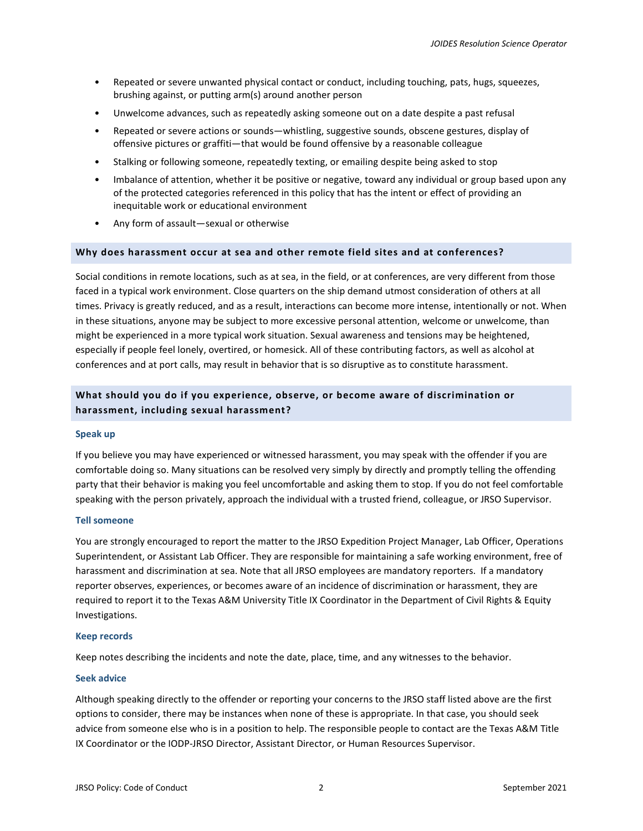- Repeated or severe unwanted physical contact or conduct, including touching, pats, hugs, squeezes, brushing against, or putting arm(s) around another person
- Unwelcome advances, such as repeatedly asking someone out on a date despite a past refusal
- Repeated or severe actions or sounds—whistling, suggestive sounds, obscene gestures, display of offensive pictures or graffiti—that would be found offensive by a reasonable colleague
- Stalking or following someone, repeatedly texting, or emailing despite being asked to stop
- Imbalance of attention, whether it be positive or negative, toward any individual or group based upon any of the protected categories referenced in this policy that has the intent or effect of providing an inequitable work or educational environment
- Any form of assault—sexual or otherwise

# **Why does harassment occur at sea and other remote field sites and at conferences?**

Social conditions in remote locations, such as at sea, in the field, or at conferences, are very different from those faced in a typical work environment. Close quarters on the ship demand utmost consideration of others at all times. Privacy is greatly reduced, and as a result, interactions can become more intense, intentionally or not. When in these situations, anyone may be subject to more excessive personal attention, welcome or unwelcome, than might be experienced in a more typical work situation. Sexual awareness and tensions may be heightened, especially if people feel lonely, overtired, or homesick. All of these contributing factors, as well as alcohol at conferences and at port calls, may result in behavior that is so disruptive as to constitute harassment.

# **What should you do if you experience, observe, or become aware of discrimination or harassment, including sexual harassment?**

## **Speak up**

If you believe you may have experienced or witnessed harassment, you may speak with the offender if you are comfortable doing so. Many situations can be resolved very simply by directly and promptly telling the offending party that their behavior is making you feel uncomfortable and asking them to stop. If you do not feel comfortable speaking with the person privately, approach the individual with a trusted friend, colleague, or JRSO Supervisor.

## **Tell someone**

You are strongly encouraged to report the matter to the JRSO Expedition Project Manager, Lab Officer, Operations Superintendent, or Assistant Lab Officer. They are responsible for maintaining a safe working environment, free of harassment and discrimination at sea. Note that all JRSO employees are mandatory reporters. If a mandatory reporter observes, experiences, or becomes aware of an incidence of discrimination or harassment, they are required to report it to the Texas A&M University Title IX Coordinator in the Department of Civil Rights & Equity Investigations.

## **Keep records**

Keep notes describing the incidents and note the date, place, time, and any witnesses to the behavior.

## **Seek advice**

Although speaking directly to the offender or reporting your concerns to the JRSO staff listed above are the first options to consider, there may be instances when none of these is appropriate. In that case, you should seek advice from someone else who is in a position to help. The responsible people to contact are the Texas A&M Title IX Coordinator or the IODP-JRSO Director, Assistant Director, or Human Resources Supervisor.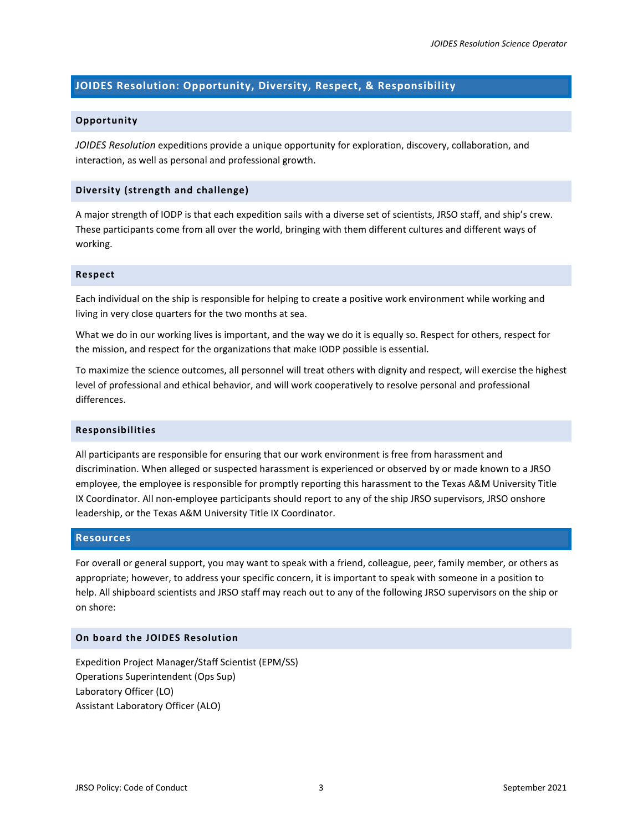# **JOIDES Resolution: Opportunity, Diversity, Respect, & Responsibility**

## **Opportunity**

*JOIDES Resolution* expeditions provide a unique opportunity for exploration, discovery, collaboration, and interaction, as well as personal and professional growth.

## **Diversity (strength and challenge)**

A major strength of IODP is that each expedition sails with a diverse set of scientists, JRSO staff, and ship's crew. These participants come from all over the world, bringing with them different cultures and different ways of working.

#### **Respect**

Each individual on the ship is responsible for helping to create a positive work environment while working and living in very close quarters for the two months at sea.

What we do in our working lives is important, and the way we do it is equally so. Respect for others, respect for the mission, and respect for the organizations that make IODP possible is essential.

To maximize the science outcomes, all personnel will treat others with dignity and respect, will exercise the highest level of professional and ethical behavior, and will work cooperatively to resolve personal and professional differences.

#### **Responsibilities**

All participants are responsible for ensuring that our work environment is free from harassment and discrimination. When alleged or suspected harassment is experienced or observed by or made known to a JRSO employee, the employee is responsible for promptly reporting this harassment to the Texas A&M University Title IX Coordinator. All non-employee participants should report to any of the ship JRSO supervisors, JRSO onshore leadership, or the Texas A&M University Title IX Coordinator.

# **Resources**

For overall or general support, you may want to speak with a friend, colleague, peer, family member, or others as appropriate; however, to address your specific concern, it is important to speak with someone in a position to help. All shipboard scientists and JRSO staff may reach out to any of the following JRSO supervisors on the ship or on shore:

## **On board the JOIDES Resolution**

Expedition Project Manager/Staff Scientist (EPM/SS) Operations Superintendent (Ops Sup) Laboratory Officer (LO) Assistant Laboratory Officer (ALO)